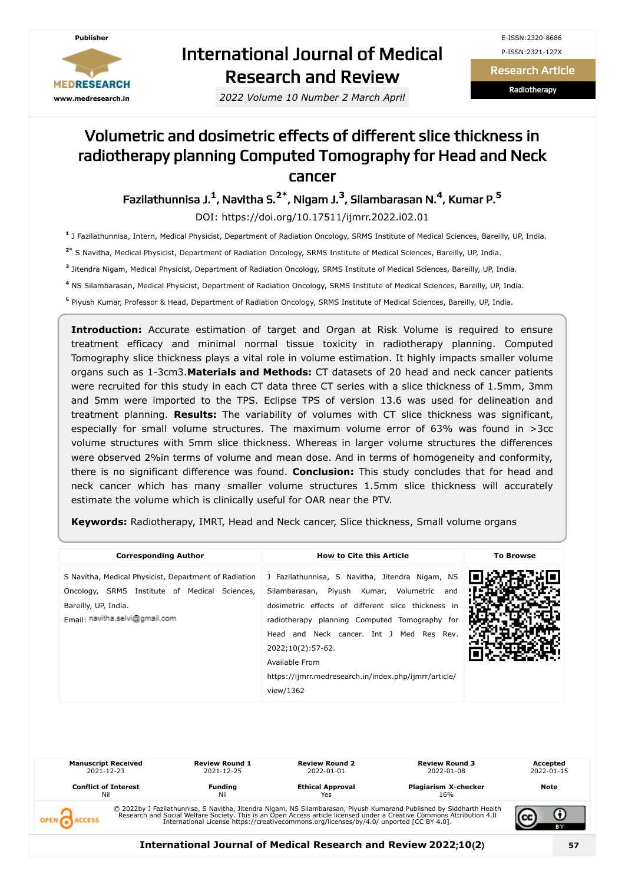

# International Journal of Medical Research and Review

*2022 Volume 10 Number 2 March April*

Research Article

Radiotherapy

## Volumetric and dosimetric effects of different slice thickness in radiotherapy planning Computed Tomography for Head and Neck cancer

Fazilathunnisa J. **1** , Navitha S. **2\*** , Nigam J. **3** , Silambarasan N. **4** , Kumar P. **5**

DOI: https://doi.org/10.17511/ijmrr.2022.i02.01

**1** J Fazilathunnisa, Intern, Medical Physicist, Department of Radiation Oncology, SRMS Institute of Medical Sciences, Bareilly, UP, India.

**2\*** S Navitha, Medical Physicist, Department of Radiation Oncology, SRMS Institute of Medical Sciences, Bareilly, UP, India.

**3** Jitendra Nigam, Medical Physicist, Department of Radiation Oncology, SRMS Institute of Medical Sciences, Bareilly, UP, India.

**4** NS Silambarasan, Medical Physicist, Department of Radiation Oncology, SRMS Institute of Medical Sciences, Bareilly, UP, India.

**5** Piyush Kumar, Professor & Head, Department of Radiation Oncology, SRMS Institute of Medical Sciences, Bareilly, UP, India.

**Introduction:** Accurate estimation of target and Organ at Risk Volume is required to ensure treatment efficacy and minimal normal tissue toxicity in radiotherapy planning. Computed Tomography slice thickness plays a vital role in volume estimation. It highly impacts smaller volume organs such as 1-3cm3.**Materials and Methods:** CT datasets of 20 head and neck cancer patients were recruited for this study in each CT data three CT series with a slice thickness of 1.5mm, 3mm and 5mm were imported to the TPS. Eclipse TPS of version 13.6 was used for delineation and treatment planning. **Results:** The variability of volumes with CT slice thickness was significant, especially for small volume structures. The maximum volume error of 63% was found in >3cc volume structures with 5mm slice thickness. Whereas in larger volume structures the differences were observed 2%in terms of volume and mean dose. And in terms of homogeneity and conformity, there is no significant difference was found. **Conclusion:** This study concludes that for head and neck cancer which has many smaller volume structures 1.5mm slice thickness will accurately estimate the volume which is clinically useful for OAR near the PTV.

**Keywords:** Radiotherapy, IMRT, Head and Neck cancer, Slice thickness, Small volume organs

| <b>Corresponding Author</b>                                                                                                                                      | <b>How to Cite this Article</b>                                                                                                                                                                                                                                                                                                                                  | <b>To Browse</b> |
|------------------------------------------------------------------------------------------------------------------------------------------------------------------|------------------------------------------------------------------------------------------------------------------------------------------------------------------------------------------------------------------------------------------------------------------------------------------------------------------------------------------------------------------|------------------|
| S Navitha, Medical Physicist, Department of Radiation<br>Oncology, SRMS Institute of Medical Sciences,<br>Bareilly, UP, India.<br>Fmail: navitha.selvi@gmail.com | J Fazilathunnisa, S Navitha, Jitendra Nigam, NS<br>Silambarasan, Piyush Kumar, Volumetric<br>and<br>dosimetric effects of different slice thickness in<br>radiotherapy planning Computed Tomography for<br>Head and Neck cancer. Int J Med Res Rev.<br>2022;10(2):57-62.<br>Available From<br>https://ijmrr.medresearch.in/index.php/ijmrr/article/<br>view/1362 |                  |

| <b>Manuscript Received</b><br>2021-12-23 | <b>Review Round 1</b><br>2021-12-25 | <b>Review Round 2</b><br>2022-01-01                                                      | <b>Review Round 3</b><br>2022-01-08                                                                                                                                                                                               | Accepted<br>2022-01-15 |
|------------------------------------------|-------------------------------------|------------------------------------------------------------------------------------------|-----------------------------------------------------------------------------------------------------------------------------------------------------------------------------------------------------------------------------------|------------------------|
| <b>Conflict of Interest</b><br>Nil       | Fundina<br>Nil                      | <b>Ethical Approval</b><br>Yes                                                           | <b>Plagiarism X-checker</b><br>16%                                                                                                                                                                                                | Note                   |
|                                          |                                     | International License https://creativecommons.org/licenses/by/4.0/ unported [CC BY 4.0]. | © 2022by J Fazilathunnisa, S Navitha, Jitendra Nigam, NS Silambarasan, Piyush Kumarand Published by Siddharth Health<br>Research and Social Welfare Society. This is an Open Access article licensed under a Creative Commons Att | ΒY                     |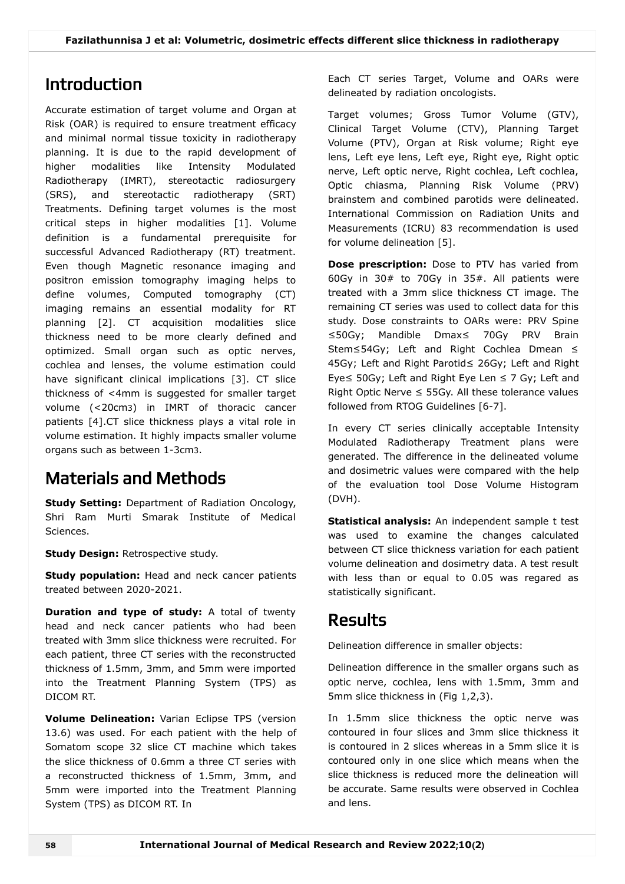## Introduction

Accurate estimation of target volume and Organ at Risk (OAR) is required to ensure treatment efficacy and minimal normal tissue toxicity in radiotherapy planning. It is due to the rapid development of higher modalities like Intensity Modulated Radiotherapy (IMRT), stereotactic radiosurgery (SRS), and stereotactic radiotherapy (SRT) Treatments. Defining target volumes is the most critical steps in higher modalities [1]. Volume definition is a fundamental prerequisite for successful Advanced Radiotherapy (RT) treatment. Even though Magnetic resonance imaging and positron emission tomography imaging helps to define volumes, Computed tomography (CT) imaging remains an essential modality for RT planning [2]. CT acquisition modalities slice thickness need to be more clearly defined and optimized. Small organ such as optic nerves, cochlea and lenses, the volume estimation could have significant clinical implications [3]. CT slice thickness of <4mm is suggested for smaller target volume (<20cm3) in IMRT of thoracic cancer patients [4].CT slice thickness plays a vital role in volume estimation. It highly impacts smaller volume organs such as between 1-3cm3.

# Materials and Methods

**Study Setting:** Department of Radiation Oncology, Shri Ram Murti Smarak Institute of Medical Sciences.

**Study Design:** Retrospective study.

**Study population:** Head and neck cancer patients treated between 2020-2021.

**Duration and type of study:** A total of twenty head and neck cancer patients who had been treated with 3mm slice thickness were recruited. For each patient, three CT series with the reconstructed thickness of 1.5mm, 3mm, and 5mm were imported into the Treatment Planning System (TPS) as DICOM RT.

**Volume Delineation:** Varian Eclipse TPS (version 13.6) was used. For each patient with the help of Somatom scope 32 slice CT machine which takes the slice thickness of 0.6mm a three CT series with a reconstructed thickness of 1.5mm, 3mm, and 5mm were imported into the Treatment Planning System (TPS) as DICOM RT. In

Each CT series Target, Volume and OARs were delineated by radiation oncologists.

Target volumes; Gross Tumor Volume (GTV), Clinical Target Volume (CTV), Planning Target Volume (PTV), Organ at Risk volume; Right eye lens, Left eye lens, Left eye, Right eye, Right optic nerve, Left optic nerve, Right cochlea, Left cochlea, Optic chiasma, Planning Risk Volume (PRV) brainstem and combined parotids were delineated. International Commission on Radiation Units and Measurements (ICRU) 83 recommendation is used for volume delineation [5].

**Dose prescription:** Dose to PTV has varied from 60Gy in 30# to 70Gy in 35#. All patients were treated with a 3mm slice thickness CT image. The remaining CT series was used to collect data for this study. Dose constraints to OARs were: PRV Spine ≤50Gy; Mandible Dmax≤ 70Gy PRV Brain Stem≤54Gy; Left and Right Cochlea Dmean ≤ 45Gy; Left and Right Parotid≤ 26Gy; Left and Right Eye≤ 50Gy; Left and Right Eye Len ≤ 7 Gy; Left and Right Optic Nerve  $\leq$  55Gv. All these tolerance values followed from RTOG Guidelines [6-7].

In every CT series clinically acceptable Intensity Modulated Radiotherapy Treatment plans were generated. The difference in the delineated volume and dosimetric values were compared with the help of the evaluation tool Dose Volume Histogram (DVH).

**Statistical analysis:** An independent sample t test was used to examine the changes calculated between CT slice thickness variation for each patient volume delineation and dosimetry data. A test result with less than or equal to 0.05 was regared as statistically significant.

## Results

Delineation difference in smaller objects:

Delineation difference in the smaller organs such as optic nerve, cochlea, lens with 1.5mm, 3mm and 5mm slice thickness in (Fig 1,2,3).

In 1.5mm slice thickness the optic nerve was contoured in four slices and 3mm slice thickness it is contoured in 2 slices whereas in a 5mm slice it is contoured only in one slice which means when the slice thickness is reduced more the delineation will be accurate. Same results were observed in Cochlea and lens.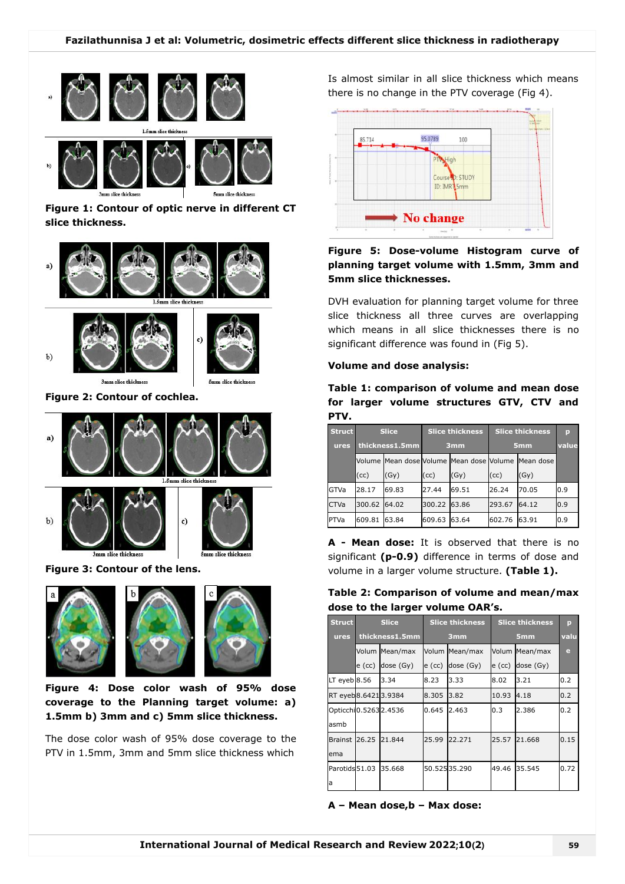

**Figure 1: Contour of optic nerve in different CT slice thickness.**



**Figure 2: Contour of cochlea.**



**Figure 3: Contour of the lens.**



**Figure 4: Dose color wash of 95% dose coverage to the Planning target volume: a) 1.5mm b) 3mm and c) 5mm slice thickness.**

The dose color wash of 95% dose coverage to the PTV in 1.5mm, 3mm and 5mm slice thickness which

Is almost similar in all slice thickness which means there is no change in the PTV coverage (Fig 4).



### **Figure 5: Dose-volume Histogram curve of planning target volume with 1.5mm, 3mm and 5mm slice thicknesses.**

DVH evaluation for planning target volume for three slice thickness all three curves are overlapping which means in all slice thicknesses there is no significant difference was found in (Fig 5).

#### **Volume and dose analysis:**

**Table 1: comparison of volume and mean dose for larger volume structures GTV, CTV and PTV.**

| <b>Struct</b> | <b>Slice</b>   |       | <b>Slice thickness</b> |                                          | <b>Slice thickness</b> |           | D     |
|---------------|----------------|-------|------------------------|------------------------------------------|------------------------|-----------|-------|
| ures          | thickness1.5mm |       | 3 <sub>mm</sub>        |                                          | 5 <sub>mm</sub>        |           | value |
|               |                |       |                        | Volume Mean dose Volume Mean dose Volume |                        | Mean dose |       |
|               | (cc)           | (Gy)  | (cc)                   | (Gy)                                     | (cc)                   | (Gy)      |       |
| GTVa          | 28.17          | 69.83 | 27.44                  | 69.51                                    | 26.24                  | 70.05     | 0.9   |
| <b>CTVa</b>   | 300.62         | 64.02 | 300.22                 | 63.86                                    | 293.67                 | 64.12     | 0.9   |
| <b>PTVa</b>   | 609.81         | 63.84 | 609.63                 | 63.64                                    | 602.76                 | 63.91     | 0.9   |

**A - Mean dose:** It is observed that there is no significant **(p-0.9)** difference in terms of dose and volume in a larger volume structure. **(Table 1).**

| Table 2: Comparison of volume and mean/max |  |  |
|--------------------------------------------|--|--|
| dose to the larger volume OAR's.           |  |  |

| <b>Struct</b>        |        | <b>Slice</b>   |        | <b>Slice thickness</b> |          | <b>Slice thickness</b> | p    |
|----------------------|--------|----------------|--------|------------------------|----------|------------------------|------|
| ures                 |        | thickness1.5mm |        | 3 <sub>mm</sub>        |          | 5 <sub>mm</sub>        | valu |
|                      |        | Volum Mean/max |        | Volum Mean/max         |          | Volum Mean/max         | e    |
|                      | e (cc) | dose (Gy)      | e (cc) | dose (Gy)              | $e$ (cc) | dose (Gy)              |      |
| $LT$ eyeb $8.56$     |        | 3.34           | 8.23   | 3.33                   | 8.02     | 3.21                   | 0.2  |
| RT eyeb8.64213.9384  |        |                | 8.305  | 3.82                   | 10.93    | 4.18                   | 0.2  |
| Opticchi0.52632.4536 |        |                | 0.645  | 2.463                  | 0.3      | 2.386                  | 0.2  |
| asmb                 |        |                |        |                        |          |                        |      |
| <b>Brainst</b>       | 26.25  | 21.844         | 25.99  | 22.271                 | 25.57    | 21.668                 | 0.15 |
| ema                  |        |                |        |                        |          |                        |      |
| Parotids 51.03       |        | 35.668         |        | 50.52535.290           | 49.46    | 35.545                 | 0.72 |
| a                    |        |                |        |                        |          |                        |      |

**A – Mean dose,b – Max dose:**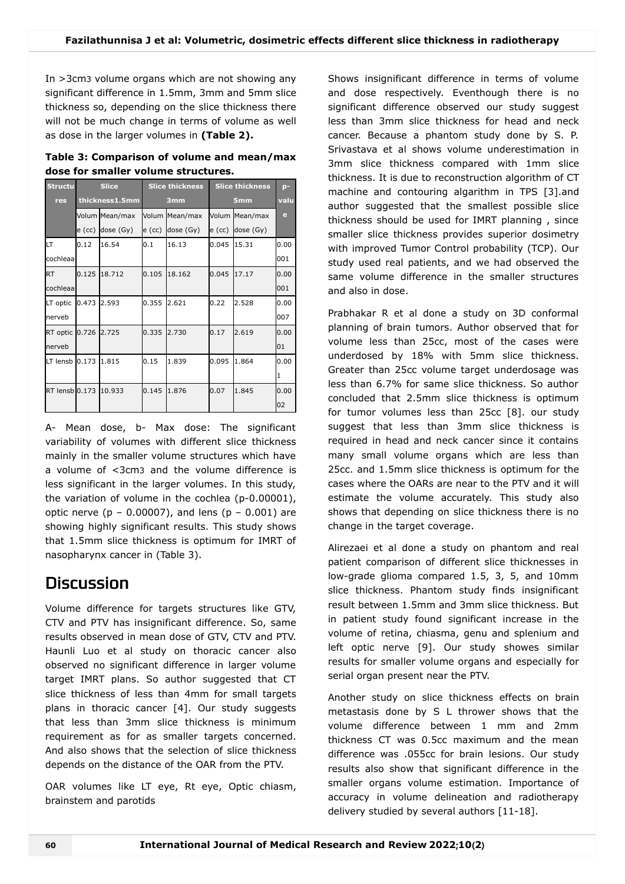In >3cm3 volume organs which are not showing any significant difference in 1.5mm, 3mm and 5mm slice thickness so, depending on the slice thickness there will not be much change in terms of volume as well as dose in the larger volumes in **(Table 2).**

| Table 3: Comparison of volume and mean/max |  |  |
|--------------------------------------------|--|--|
| dose for smaller volume structures.        |  |  |

| <b>Structu</b> |        | <b>Slice</b>   |        | <b>Slice thickness</b> |        | <b>Slice thickness</b> | $p-$ |
|----------------|--------|----------------|--------|------------------------|--------|------------------------|------|
| res            |        | thickness1.5mm |        | 3mm                    |        | 5 <sub>mm</sub>        | valu |
|                |        | Volum Mean/max |        | Volum Mean/max         |        | Volum Mean/max         | e.   |
|                | e (cc) | dose (Gy)      | e (cc) | dose (Gy)              | e (cc) | dose (Gy)              |      |
| LТ             | 0.12   | 16.54          | 0.1    | 16.13                  | 0.045  | 15.31                  | 0.00 |
| cochleaa       |        |                |        |                        |        |                        | 001  |
| <b>RT</b>      | 0.125  | 18.712         | 0.105  | 18.162                 | 0.045  | 17.17                  | 0.00 |
| cochleaa       |        |                |        |                        |        |                        | 001  |
| LT optic       | 0.473  | 2.593          | 0.355  | 2.621                  | 0.22   | 2.528                  | 0.00 |
| nerveb         |        |                |        |                        |        |                        | 007  |
| RT optic       | 0.726  | 2.725          | 0.335  | 2.730                  | 0.17   | 2.619                  | 0.00 |
| nerveb         |        |                |        |                        |        |                        | 01   |
| LT lensb 0.173 |        | 1.815          | 0.15   | 1.839                  | 0.095  | 1.864                  | 0.00 |
|                |        |                |        |                        |        |                        | 1    |
| RT lensb 0.173 |        | 10.933         | 0.145  | 1.876                  | 0.07   | 1.845                  | 0.00 |
|                |        |                |        |                        |        |                        | 02   |

A- Mean dose, b- Max dose: The significant variability of volumes with different slice thickness mainly in the smaller volume structures which have a volume of <3cm3 and the volume difference is less significant in the larger volumes. In this study, the variation of volume in the cochlea (p-0.00001), optic nerve ( $p - 0.00007$ ), and lens ( $p - 0.001$ ) are showing highly significant results. This study shows that 1.5mm slice thickness is optimum for IMRT of nasopharynx cancer in (Table 3).

### **Discussion**

Volume difference for targets structures like GTV, CTV and PTV has insignificant difference. So, same results observed in mean dose of GTV, CTV and PTV. Haunli Luo et al study on thoracic cancer also observed no significant difference in larger volume target IMRT plans. So author suggested that CT slice thickness of less than 4mm for small targets plans in thoracic cancer [4]. Our study suggests that less than 3mm slice thickness is minimum requirement as for as smaller targets concerned. And also shows that the selection of slice thickness depends on the distance of the OAR from the PTV.

OAR volumes like LT eye, Rt eye, Optic chiasm, brainstem and parotids

Shows insignificant difference in terms of volume and dose respectively. Eventhough there is no significant difference observed our study suggest less than 3mm slice thickness for head and neck cancer. Because a phantom study done by S. P. Srivastava et al shows volume underestimation in 3mm slice thickness compared with 1mm slice thickness. It is due to reconstruction algorithm of CT machine and contouring algarithm in TPS [3].and author suggested that the smallest possible slice thickness should be used for IMRT planning , since smaller slice thickness provides superior dosimetry with improved Tumor Control probability (TCP). Our study used real patients, and we had observed the same volume difference in the smaller structures and also in dose.

Prabhakar R et al done a study on 3D conformal planning of brain tumors. Author observed that for volume less than 25cc, most of the cases were underdosed by 18% with 5mm slice thickness. Greater than 25cc volume target underdosage was less than 6.7% for same slice thickness. So author concluded that 2.5mm slice thickness is optimum for tumor volumes less than 25cc [8]. our study suggest that less than 3mm slice thickness is required in head and neck cancer since it contains many small volume organs which are less than 25cc. and 1.5mm slice thickness is optimum for the cases where the OARs are near to the PTV and it will estimate the volume accurately. This study also shows that depending on slice thickness there is no change in the target coverage.

Alirezaei et al done a study on phantom and real patient comparison of different slice thicknesses in low-grade glioma compared 1.5, 3, 5, and 10mm slice thickness. Phantom study finds insignificant result between 1.5mm and 3mm slice thickness. But in patient study found significant increase in the volume of retina, chiasma, genu and splenium and left optic nerve [9]. Our study showes similar results for smaller volume organs and especially for serial organ present near the PTV.

Another study on slice thickness effects on brain metastasis done by S L thrower shows that the volume difference between 1 mm and 2mm thickness CT was 0.5cc maximum and the mean difference was .055cc for brain lesions. Our study results also show that significant difference in the smaller organs volume estimation. Importance of accuracy in volume delineation and radiotherapy delivery studied by several authors [11-18].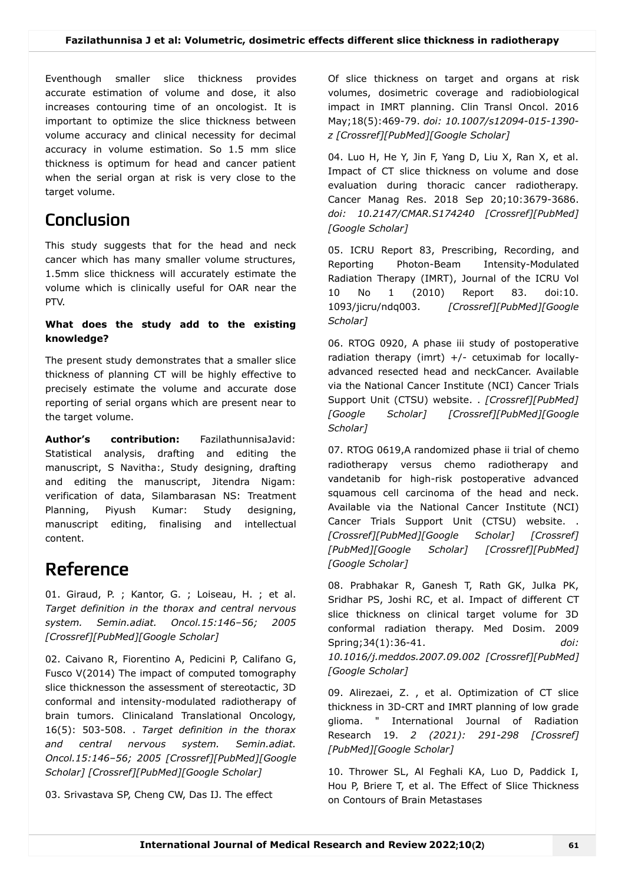Eventhough smaller slice thickness provides accurate estimation of volume and dose, it also increases contouring time of an oncologist. It is important to optimize the slice thickness between volume accuracy and clinical necessity for decimal accuracy in volume estimation. So 1.5 mm slice thickness is optimum for head and cancer patient when the serial organ at risk is very close to the target volume.

# Conclusion

This study suggests that for the head and neck cancer which has many smaller volume structures, 1.5mm slice thickness will accurately estimate the volume which is clinically useful for OAR near the PTV.

### **What does the study add to the existing knowledge?**

The present study demonstrates that a smaller slice thickness of planning CT will be highly effective to precisely estimate the volume and accurate dose reporting of serial organs which are present near to the target volume.

**Author's contribution:** FazilathunnisaJavid: Statistical analysis, drafting and editing the manuscript, S Navitha:, Study designing, drafting and editing the manuscript, Jitendra Nigam: verification of data, Silambarasan NS: Treatment Planning, Piyush Kumar: Study designing, manuscript editing, finalising and intellectual content.

# Reference

01. Giraud, P. ; Kantor, G. ; Loiseau, H. ; et al. *Target definition in the thorax and central nervous system. Semin.adiat. Oncol.15:146–56; 2005 [\[Crossref\]](https://search.crossref.org/?type-name=Journal+Article&q=;%20Kantor,%20G)[[PubMed\]](https://www.ncbi.nlm.nih.gov/pubmed/?term=;%20Kantor,%20G)[\[Google Scholar](https://scholar.google.com/scholar_lookup?title=;%20Kantor,%20G)]*

02. Caivano R, Fiorentino A, Pedicini P, Califano G, Fusco V(2014) The impact of computed tomography slice thicknesson the assessment of stereotactic, 3D conformal and intensity-modulated radiotherapy of brain tumors. Clinicaland Translational Oncology, 16(5): 503-508. . *Target definition in the thorax and central nervous system. Semin.adiat. Oncol.15:146–56; 2005 [Crossref][PubMed][Google Scholar] [\[Crossref](https://search.crossref.org/?type-name=Journal+Article&q=Clinicaland%20Translational%20Oncology,%2016(5):%20503-508)][[PubMed\]](https://www.ncbi.nlm.nih.gov/pubmed/?term=Clinicaland%20Translational%20Oncology,%2016(5):%20503-508)[\[Google Scholar](https://scholar.google.com/scholar_lookup?title=Clinicaland%20Translational%20Oncology,%2016(5):%20503-508)]*

03. Srivastava SP, Cheng CW, Das IJ. The effect

Of slice thickness on target and organs at risk volumes, dosimetric coverage and radiobiological impact in IMRT planning. Clin Transl Oncol. 2016 May;18(5):469-79. *doi: 10.1007/s12094-015-1390 z [\[Crossref\]](https://doi.org/10.1007/s12094-015-1390-z)[[PubMed](https://www.ncbi.nlm.nih.gov/pubmed/?term=The%20effect%20of%20slice%20thickness%20on%20target%20and%20organs%20at%20risk%20volumes,%20dosimetric%20coverage%20and%20radiobiological%20impact%20in%20IMRT%20planning)][\[Google Scholar\]](https://scholar.google.com/scholar_lookup?title=The%20effect%20of%20slice%20thickness%20on%20target%20and%20organs%20at%20risk%20volumes,%20dosimetric%20coverage%20and%20radiobiological%20impact%20in%20IMRT%20planning)*

04. Luo H, He Y, Jin F, Yang D, Liu X, Ran X, et al. Impact of CT slice thickness on volume and dose evaluation during thoracic cancer radiotherapy. Cancer Manag Res. 2018 Sep 20;10:3679-3686. *doi: 10.2147/CMAR.S174240 [[Crossref\]](https://doi.org/10.2147/CMAR.S174240)[\[PubMed\]](https://www.ncbi.nlm.nih.gov/pubmed/?term=Impact%20of%20CT%20slice%20thickness%20on%20volume%20and%20dose%20evaluation%20during%20thoracic%20cancer%20radiotherapy) [[Google Scholar\]](https://scholar.google.com/scholar_lookup?title=Impact%20of%20CT%20slice%20thickness%20on%20volume%20and%20dose%20evaluation%20during%20thoracic%20cancer%20radiotherapy)*

05. ICRU Report 83, Prescribing, Recording, and Reporting Photon-Beam Intensity-Modulated Radiation Therapy (IMRT), Journal of the ICRU Vol 10 No 1 (2010) Report 83. doi:10. 1093/jicru/ndq003. *[\[](https://scholar.google.com/scholar_lookup?title=doi:10)[Crossref](https://search.crossref.org/?type-name=Journal+Article&q=doi:10)[\]\[](https://scholar.google.com/scholar_lookup?title=doi:10)[PubMe](https://www.ncbi.nlm.nih.gov/pubmed/?term=doi:10)[d\]\[Google](https://scholar.google.com/scholar_lookup?title=doi:10) Scholar]*

06. RTOG 0920, A phase iii study of postoperative radiation therapy (imrt)  $+/-$  cetuximab for locallyadvanced resected head and neckCancer. Available via the National Cancer Institute (NCI) Cancer Trials Support Unit (CTSU) website. . *[Crossref][PubMed] [\[Google Scholar\] \[](https://scholar.google.com/scholar_lookup?title=Available%20via%20the%20National%20Cancer%20Institute%20(NCI)%20Cancer%20Trials%20Support%20Unit%20(CTSU)%20website)[Crossref](https://search.crossref.org/?type-name=Journal+Article&q=Available%20via%20the%20National%20Cancer%20Institute%20(NCI)%20Cancer%20Trials%20Support%20Unit%20(CTSU)%20website)[\]\[P](https://scholar.google.com/scholar_lookup?title=Available%20via%20the%20National%20Cancer%20Institute%20(NCI)%20Cancer%20Trials%20Support%20Unit%20(CTSU)%20website)[ubMe](https://www.ncbi.nlm.nih.gov/pubmed/?term=Available%20via%20the%20National%20Cancer%20Institute%20(NCI)%20Cancer%20Trials%20Support%20Unit%20(CTSU)%20website)[d\]\[Google](https://scholar.google.com/scholar_lookup?title=Available%20via%20the%20National%20Cancer%20Institute%20(NCI)%20Cancer%20Trials%20Support%20Unit%20(CTSU)%20website) Scholar]*

07. RTOG 0619,A randomized phase ii trial of chemo radiotherapy versus chemo radiotherapy and vandetanib for high-risk postoperative advanced squamous cell carcinoma of the head and neck. Available via the National Cancer Institute (NCI) Cancer Trials Support Unit (CTSU) website. . *[Crossref][PubMed][Google Scholar] [Crossref] [PubMed][Google Scholar] [[Crossref\]](https://search.crossref.org/?type-name=Journal+Article&q=Available%20via%20the%20National%20Cancer%20Institute%20(NCI)%20Cancer%20Trials%20Support%20Unit%20(CTSU)%20website)[\[PubMed\]](https://www.ncbi.nlm.nih.gov/pubmed/?term=Available%20via%20the%20National%20Cancer%20Institute%20(NCI)%20Cancer%20Trials%20Support%20Unit%20(CTSU)%20website) [[Google Scholar\]](https://scholar.google.com/scholar_lookup?title=Available%20via%20the%20National%20Cancer%20Institute%20(NCI)%20Cancer%20Trials%20Support%20Unit%20(CTSU)%20website)*

08. Prabhakar R, Ganesh T, Rath GK, Julka PK, Sridhar PS, Joshi RC, et al. Impact of different CT slice thickness on clinical target volume for 3D conformal radiation therapy. Med Dosim. 2009 Spring;34(1):36-41. *doi: 10.1016/j.meddos.2007.09.002 [[Crossref](https://doi.org/10.1016/j.meddos.2007.09.002)][\[PubMed\]](https://www.ncbi.nlm.nih.gov/pubmed/?term=Impact%20of%20different%20CT%20slice%20thickness%20on%20clinical%20target%20volume%20for%203D%20conformal%20radiation%20therapy) [[Google Scholar\]](https://scholar.google.com/scholar_lookup?title=Impact%20of%20different%20CT%20slice%20thickness%20on%20clinical%20target%20volume%20for%203D%20conformal%20radiation%20therapy)*

09. Alirezaei, Z. , et al. Optimization of CT slice thickness in 3D-CRT and IMRT planning of low grade glioma. " International Journal of Radiation Research 19. *2 (2021): 291-298 [\[Crossref\]](https://search.crossref.org/?type-name=Journal+Article&q=,%20et%20al) [[PubMed\]](https://www.ncbi.nlm.nih.gov/pubmed/?term=,%20et%20al)[\[Google Scholar](https://scholar.google.com/scholar_lookup?title=,%20et%20al)]*

10. Thrower SL, Al Feghali KA, Luo D, Paddick I, Hou P, Briere T, et al. The Effect of Slice Thickness on Contours of Brain Metastases